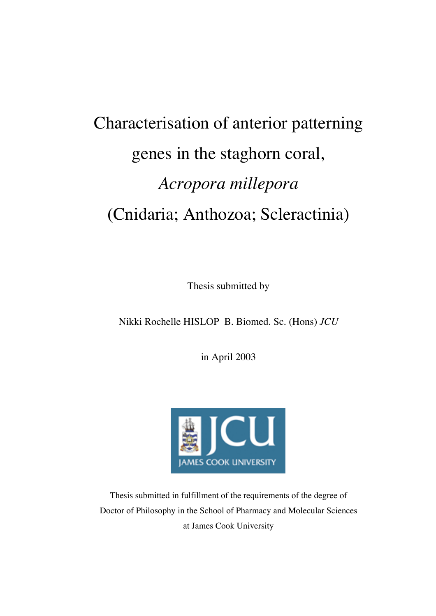# Characterisation of anterior patterning genes in the staghorn coral, *Acropora millepora* (Cnidaria; Anthozoa; Scleractinia)

Thesis submitted by

Nikki Rochelle HISLOP B. Biomed. Sc. (Hons) *JCU*

in April 2003



Thesis submitted in fulfillment of the requirements of the degree of Doctor of Philosophy in the School of Pharmacy and Molecular Sciences at James Cook University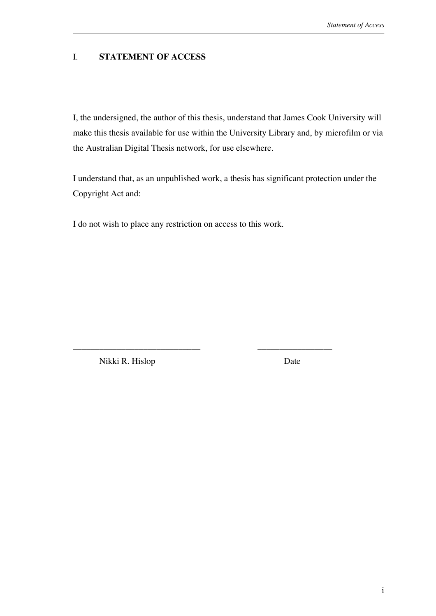#### I. **STATEMENT OF ACCESS**

I, the undersigned, the author of this thesis, understand that James Cook University will make this thesis available for use within the University Library and, by microfilm or via the Australian Digital Thesis network, for use elsewhere.

I understand that, as an unpublished work, a thesis has significant protection under the Copyright Act and:

I do not wish to place any restriction on access to this work.

\_\_\_\_\_\_\_\_\_\_\_\_\_\_\_\_\_\_\_\_\_\_\_\_\_\_\_\_\_ \_\_\_\_\_\_\_\_\_\_\_\_\_\_\_\_\_

Nikki R. Hislop Date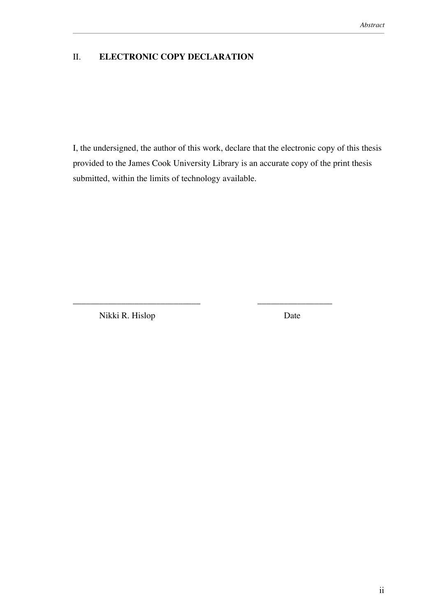#### II. **ELECTRONIC COPY DECLARATION**

I, the undersigned, the author of this work, declare that the electronic copy of this thesis provided to the James Cook University Library is an accurate copy of the print thesis submitted, within the limits of technology available.

\_\_\_\_\_\_\_\_\_\_\_\_\_\_\_\_\_\_\_\_\_\_\_\_\_\_\_\_\_ \_\_\_\_\_\_\_\_\_\_\_\_\_\_\_\_\_

Nikki R. Hislop Date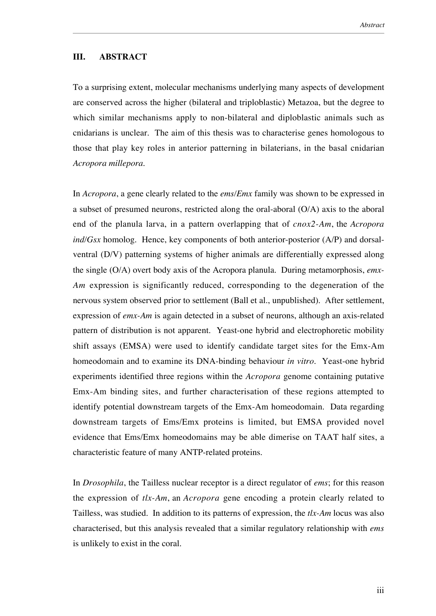#### **III. ABSTRACT**

To a surprising extent, molecular mechanisms underlying many aspects of development are conserved across the higher (bilateral and triploblastic) Metazoa, but the degree to which similar mechanisms apply to non-bilateral and diploblastic animals such as cnidarians is unclear. The aim of this thesis was to characterise genes homologous to those that play key roles in anterior patterning in bilaterians, in the basal cnidarian *Acropora millepora*.

In *Acropora*, a gene clearly related to the *ems/Emx* family was shown to be expressed in a subset of presumed neurons, restricted along the oral-aboral (O/A) axis to the aboral end of the planula larva, in a pattern overlapping that of *cnox2-Am*, the *Acropora ind/Gsx* homolog. Hence, key components of both anterior-posterior (A/P) and dorsalventral (D/V) patterning systems of higher animals are differentially expressed along the single (O/A) overt body axis of the Acropora planula. During metamorphosis, *emx-Am* expression is significantly reduced, corresponding to the degeneration of the nervous system observed prior to settlement (Ball et al., unpublished). After settlement, expression of *emx-Am* is again detected in a subset of neurons, although an axis-related pattern of distribution is not apparent. Yeast-one hybrid and electrophoretic mobility shift assays (EMSA) were used to identify candidate target sites for the Emx-Am homeodomain and to examine its DNA-binding behaviour *in vitro*. Yeast-one hybrid experiments identified three regions within the *Acropora* genome containing putative Emx-Am binding sites, and further characterisation of these regions attempted to identify potential downstream targets of the Emx-Am homeodomain. Data regarding downstream targets of Ems/Emx proteins is limited, but EMSA provided novel evidence that Ems/Emx homeodomains may be able dimerise on TAAT half sites, a characteristic feature of many ANTP-related proteins.

In *Drosophila*, the Tailless nuclear receptor is a direct regulator of *ems*; for this reason the expression of *tlx-Am*, an *Acropora* gene encoding a protein clearly related to Tailless, was studied. In addition to its patterns of expression, the *tlx-Am* locus was also characterised, but this analysis revealed that a similar regulatory relationship with *ems* is unlikely to exist in the coral.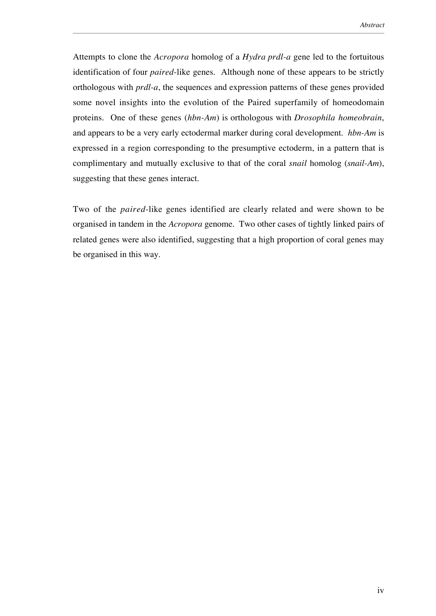Attempts to clone the *Acropora* homolog of a *Hydra prdl-a* gene led to the fortuitous identification of four *paired*-like genes. Although none of these appears to be strictly orthologous with *prdl-a*, the sequences and expression patterns of these genes provided some novel insights into the evolution of the Paired superfamily of homeodomain proteins. One of these genes (*hbn-Am*) is orthologous with *Drosophila homeobrain*, and appears to be a very early ectodermal marker during coral development. *hbn-Am* is expressed in a region corresponding to the presumptive ectoderm, in a pattern that is complimentary and mutually exclusive to that of the coral *snail* homolog (*snail-Am*), suggesting that these genes interact.

Two of the *paired*-like genes identified are clearly related and were shown to be organised in tandem in the *Acropora* genome. Two other cases of tightly linked pairs of related genes were also identified, suggesting that a high proportion of coral genes may be organised in this way.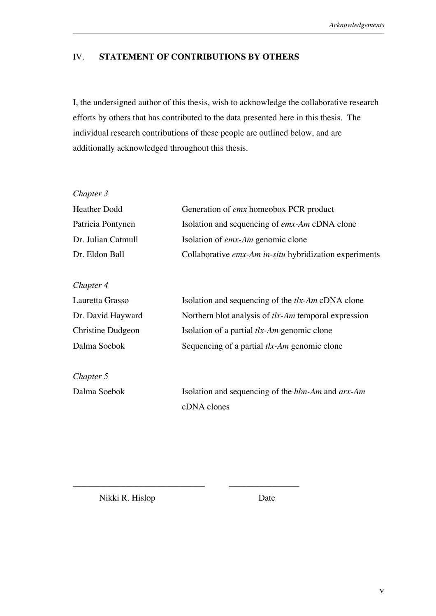### IV. **STATEMENT OF CONTRIBUTIONS BY OTHERS**

I, the undersigned author of this thesis, wish to acknowledge the collaborative research efforts by others that has contributed to the data presented here in this thesis. The individual research contributions of these people are outlined below, and are additionally acknowledged throughout this thesis.

| Chapter 3                |                                                                 |
|--------------------------|-----------------------------------------------------------------|
| <b>Heather Dodd</b>      | Generation of <i>emx</i> homeobox PCR product                   |
| Patricia Pontynen        | Isolation and sequencing of emx-Am cDNA clone                   |
| Dr. Julian Catmull       | Isolation of <i>emx-Am</i> genomic clone                        |
| Dr. Eldon Ball           | Collaborative emx-Am in-situ hybridization experiments          |
| Chapter 4                |                                                                 |
| Lauretta Grasso          | Isolation and sequencing of the $tlx$ -Am cDNA clone            |
| Dr. David Hayward        | Northern blot analysis of $tlx$ -Am temporal expression         |
| <b>Christine Dudgeon</b> | Isolation of a partial tlx-Am genomic clone                     |
| Dalma Soebok             | Sequencing of a partial tlx-Am genomic clone                    |
| Chapter 5                |                                                                 |
| Dalma Soebok             | Isolation and sequencing of the <i>hbn-Am</i> and <i>arx-Am</i> |
|                          | cDNA clones                                                     |

Nikki R. Hislop Date

\_\_\_\_\_\_\_\_\_\_\_\_\_\_\_\_\_\_\_\_\_\_\_\_\_\_\_\_\_\_ \_\_\_\_\_\_\_\_\_\_\_\_\_\_\_\_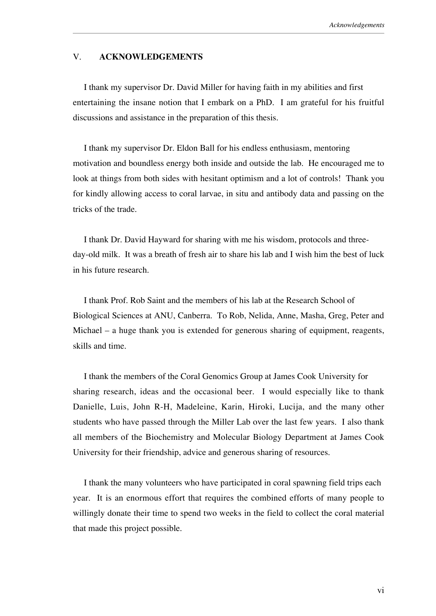#### V. **ACKNOWLEDGEMENTS**

 I thank my supervisor Dr. David Miller for having faith in my abilities and first entertaining the insane notion that I embark on a PhD. I am grateful for his fruitful discussions and assistance in the preparation of this thesis.

 I thank my supervisor Dr. Eldon Ball for his endless enthusiasm, mentoring motivation and boundless energy both inside and outside the lab. He encouraged me to look at things from both sides with hesitant optimism and a lot of controls! Thank you for kindly allowing access to coral larvae, in situ and antibody data and passing on the tricks of the trade.

 I thank Dr. David Hayward for sharing with me his wisdom, protocols and threeday-old milk. It was a breath of fresh air to share his lab and I wish him the best of luck in his future research.

 I thank Prof. Rob Saint and the members of his lab at the Research School of Biological Sciences at ANU, Canberra. To Rob, Nelida, Anne, Masha, Greg, Peter and Michael – a huge thank you is extended for generous sharing of equipment, reagents, skills and time.

 I thank the members of the Coral Genomics Group at James Cook University for sharing research, ideas and the occasional beer. I would especially like to thank Danielle, Luis, John R-H, Madeleine, Karin, Hiroki, Lucija, and the many other students who have passed through the Miller Lab over the last few years. I also thank all members of the Biochemistry and Molecular Biology Department at James Cook University for their friendship, advice and generous sharing of resources.

 I thank the many volunteers who have participated in coral spawning field trips each year. It is an enormous effort that requires the combined efforts of many people to willingly donate their time to spend two weeks in the field to collect the coral material that made this project possible.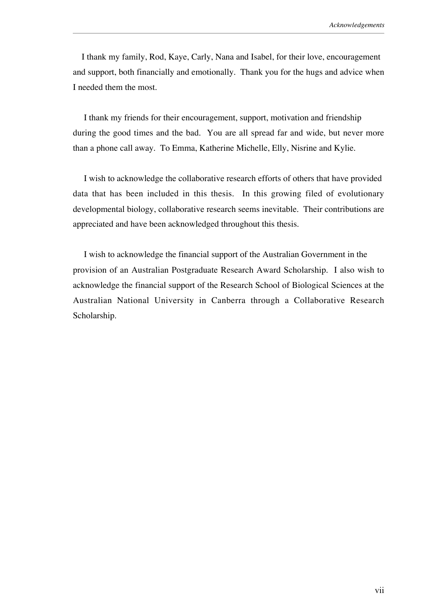I thank my family, Rod, Kaye, Carly, Nana and Isabel, for their love, encouragement and support, both financially and emotionally. Thank you for the hugs and advice when I needed them the most.

 I thank my friends for their encouragement, support, motivation and friendship during the good times and the bad. You are all spread far and wide, but never more than a phone call away. To Emma, Katherine Michelle, Elly, Nisrine and Kylie.

 I wish to acknowledge the collaborative research efforts of others that have provided data that has been included in this thesis. In this growing filed of evolutionary developmental biology, collaborative research seems inevitable. Their contributions are appreciated and have been acknowledged throughout this thesis.

 I wish to acknowledge the financial support of the Australian Government in the provision of an Australian Postgraduate Research Award Scholarship. I also wish to acknowledge the financial support of the Research School of Biological Sciences at the Australian National University in Canberra through a Collaborative Research Scholarship.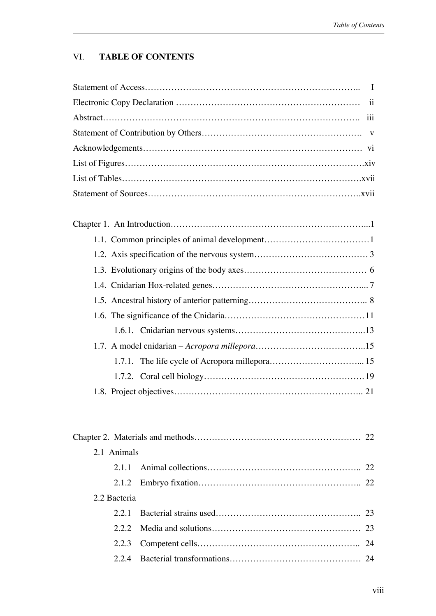## VI. **TABLE OF CONTENTS**

| 2.1 Animals  |  |
|--------------|--|
| 2.1.1        |  |
| 2.1.2        |  |
| 2.2 Bacteria |  |
| 2.2.1        |  |
| 2.2.2        |  |
| 2.2.3        |  |
| 2.2.4        |  |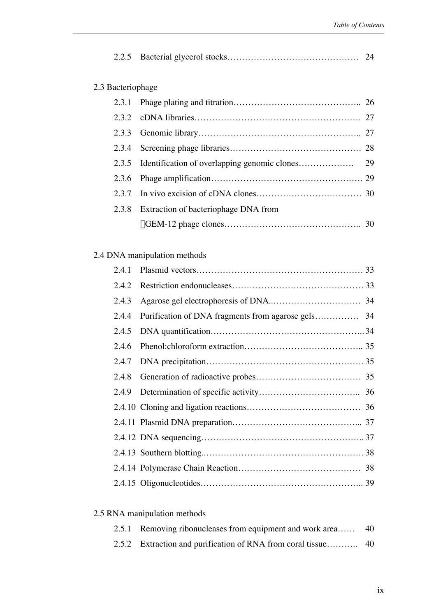| 2.3 Bacteriophage |                                      |  |
|-------------------|--------------------------------------|--|
| 2.3.1             |                                      |  |
|                   |                                      |  |
| 2.3.3             |                                      |  |
| 2.3.4             |                                      |  |
|                   |                                      |  |
| 2.3.6             |                                      |  |
|                   |                                      |  |
| 2.3.8             | Extraction of bacteriophage DNA from |  |
|                   |                                      |  |

# 2.4 DNA manipulation methods

| 2.4.1 |  |
|-------|--|
| 2.4.2 |  |
| 2.4.3 |  |
| 2.4.4 |  |
| 2.4.5 |  |
| 2.4.6 |  |
| 2.4.7 |  |
| 2.4.8 |  |
|       |  |
|       |  |
|       |  |
|       |  |
|       |  |
|       |  |
|       |  |

# 2.5 RNA manipulation methods

| 2.5.1 Removing ribonucleases from equipment and work area 40 |  |
|--------------------------------------------------------------|--|
|                                                              |  |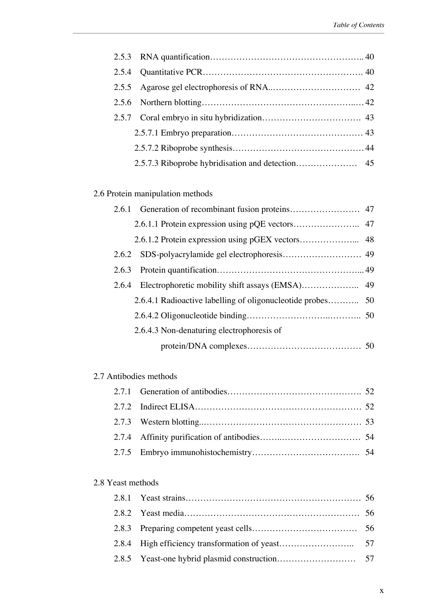# 2.6 Protein manipulation methods

## 2.7 Antibodies methods

#### 2.8 Yeast methods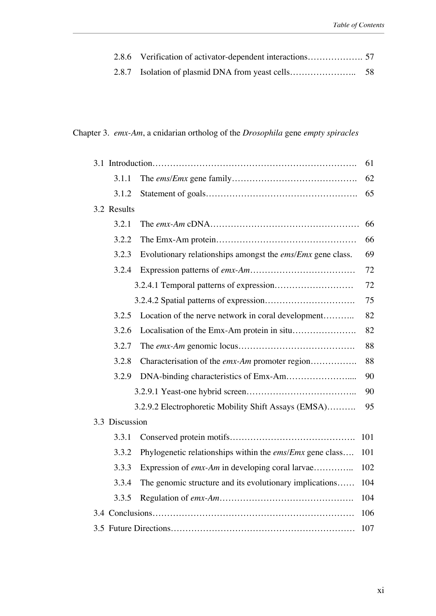# Chapter 3. *emx-Am*, a cnidarian ortholog of the *Drosophila* gene *empty spiracles*

|                |                                                                   | 61  |
|----------------|-------------------------------------------------------------------|-----|
| 3.1.1          |                                                                   | 62  |
| 3.1.2          |                                                                   | 65  |
| 3.2 Results    |                                                                   |     |
| 3.2.1          |                                                                   | 66  |
| 3.2.2          |                                                                   | 66  |
| 3.2.3          | Evolutionary relationships amongst the <i>ems/Emx</i> gene class. | 69  |
| 3.2.4          |                                                                   | 72  |
|                |                                                                   | 72  |
|                |                                                                   | 75  |
| 3.2.5          | Location of the nerve network in coral development                | 82  |
| 3.2.6          |                                                                   | 82  |
| 3.2.7          |                                                                   | 88  |
| 3.2.8          | Characterisation of the emx-Am promoter region                    | 88  |
| 3.2.9          |                                                                   | 90  |
|                |                                                                   | 90  |
|                | 3.2.9.2 Electrophoretic Mobility Shift Assays (EMSA)              | 95  |
| 3.3 Discussion |                                                                   |     |
| 3.3.1          |                                                                   | 101 |
| 3.3.2          | Phylogenetic relationships within the <i>ems/Emx</i> gene class   | 101 |
| 3.3.3          | Expression of emx-Am in developing coral larvae                   | 102 |
| 3.3.4          | The genomic structure and its evolutionary implications           | 104 |
| 3.3.5          |                                                                   | 104 |
|                |                                                                   | 106 |
|                |                                                                   | 107 |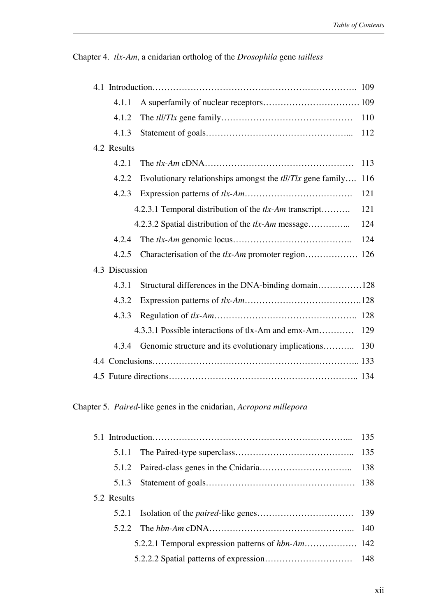Chapter 4. *tlx-Am*, a cnidarian ortholog of the *Drosophila* gene *tailless*

|  | 4.1.1          |                                                                        |     |
|--|----------------|------------------------------------------------------------------------|-----|
|  | 4.1.2          |                                                                        | 110 |
|  | 4.1.3          |                                                                        |     |
|  | 4.2 Results    |                                                                        |     |
|  | 4.2.1          |                                                                        | 113 |
|  | 4.2.2          | Evolutionary relationships amongst the $t\frac{1}{T}x$ gene family 116 |     |
|  | 4.2.3          |                                                                        | 121 |
|  |                | 4.2.3.1 Temporal distribution of the tlx-Am transcript                 | 121 |
|  |                | 4.2.3.2 Spatial distribution of the tlx-Am message                     | 124 |
|  | 4.2.4          |                                                                        | 124 |
|  | 4.2.5          | Characterisation of the tlx-Am promoter region 126                     |     |
|  | 4.3 Discussion |                                                                        |     |
|  | 4.3.1          | Structural differences in the DNA-binding domain128                    |     |
|  | 4.3.2          |                                                                        |     |
|  | 4.3.3          |                                                                        |     |
|  |                | 4.3.3.1 Possible interactions of tlx-Am and emx-Am                     | 129 |
|  | 4.3.4          | Genomic structure and its evolutionary implications                    | 130 |
|  |                |                                                                        |     |
|  |                |                                                                        |     |

Chapter 5. *Paired*-like genes in the cnidarian, *Acropora millepora*

| 5.2 Results |  |
|-------------|--|
|             |  |
|             |  |
|             |  |
|             |  |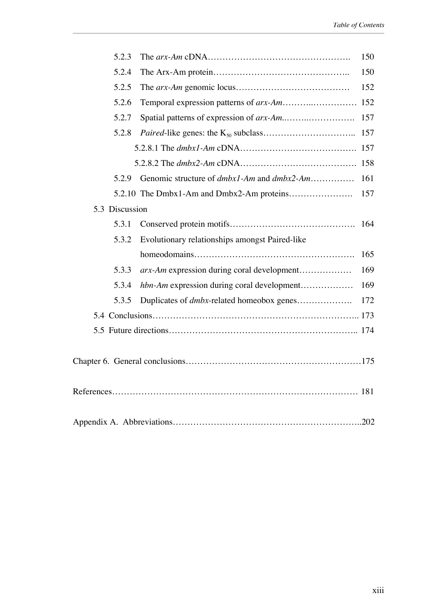| 5.2.3          |                                                          | 150 |
|----------------|----------------------------------------------------------|-----|
| 5.2.4          |                                                          | 150 |
| 5.2.5          |                                                          | 152 |
| 5.2.6          |                                                          |     |
| 5.2.7          |                                                          | 157 |
| 5.2.8          |                                                          | 157 |
|                |                                                          |     |
|                |                                                          |     |
| 5.2.9          | Genomic structure of <i>dmbx1-Am</i> and <i>dmbx2-Am</i> | 161 |
|                |                                                          | 157 |
| 5.3 Discussion |                                                          |     |
| 5.3.1          |                                                          | 164 |
| 5.3.2          | Evolutionary relationships amongst Paired-like           |     |
|                |                                                          | 165 |
| 5.3.3          | arx-Am expression during coral development               | 169 |
| 5.3.4          | hbn-Am expression during coral development               | 169 |
| 5.3.5          | Duplicates of <i>dmbx</i> -related homeobox genes        | 172 |
|                |                                                          |     |
|                |                                                          |     |
|                |                                                          |     |
|                |                                                          |     |
|                |                                                          |     |
|                |                                                          |     |
|                |                                                          |     |
|                |                                                          |     |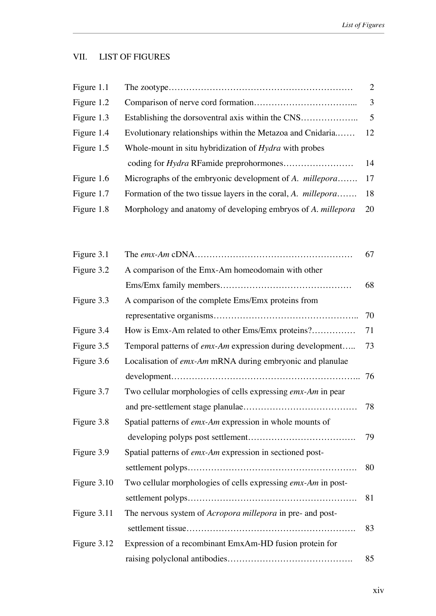## VII. LIST OF FIGURES

| Figure 1.1 |                                                                      | $\overline{2}$ |
|------------|----------------------------------------------------------------------|----------------|
| Figure 1.2 |                                                                      | 3              |
| Figure 1.3 | Establishing the dorsoventral axis within the CNS                    | $\overline{5}$ |
| Figure 1.4 | Evolutionary relationships within the Metazoa and Cnidaria           | 12             |
| Figure 1.5 | Whole-mount in situ hybridization of <i>Hydra</i> with probes        |                |
|            |                                                                      | 14             |
| Figure 1.6 | Micrographs of the embryonic development of A. <i>millepora</i>      | 17             |
| Figure 1.7 | Formation of the two tissue layers in the coral, A. <i>millepora</i> | 18             |
| Figure 1.8 | Morphology and anatomy of developing embryos of A. millepora         | 20             |
|            |                                                                      |                |

| Figure 3.1  |                                                               | 67 |
|-------------|---------------------------------------------------------------|----|
| Figure 3.2  | A comparison of the Emx-Am homeodomain with other             |    |
|             |                                                               | 68 |
| Figure 3.3  | A comparison of the complete Ems/Emx proteins from            |    |
|             |                                                               | 70 |
| Figure 3.4  | How is Emx-Am related to other Ems/Emx proteins?              | 71 |
| Figure 3.5  | Temporal patterns of emx-Am expression during development     | 73 |
| Figure 3.6  | Localisation of emx-Am mRNA during embryonic and planulae     |    |
|             |                                                               | 76 |
| Figure 3.7  | Two cellular morphologies of cells expressing emx-Am in pear  |    |
|             |                                                               | 78 |
| Figure 3.8  | Spatial patterns of emx-Am expression in whole mounts of      |    |
|             |                                                               | 79 |
| Figure 3.9  | Spatial patterns of emx-Am expression in sectioned post-      |    |
|             |                                                               | 80 |
| Figure 3.10 | Two cellular morphologies of cells expressing emx-Am in post- |    |
|             |                                                               | 81 |
| Figure 3.11 | The nervous system of Acropora millepora in pre- and post-    |    |
|             |                                                               | 83 |
| Figure 3.12 | Expression of a recombinant EmxAm-HD fusion protein for       |    |
|             |                                                               | 85 |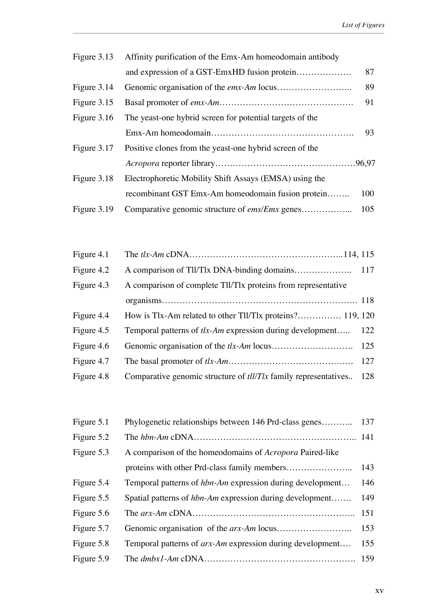| Figure 3.13   | Affinity purification of the Emx-Am homeodomain antibody |     |
|---------------|----------------------------------------------------------|-----|
|               |                                                          | 87  |
| Figure 3.14   |                                                          | 89  |
| Figure 3.15   |                                                          | 91  |
| Figure $3.16$ | The yeast-one hybrid screen for potential targets of the |     |
|               |                                                          | 93  |
| Figure 3.17   | Positive clones from the yeast-one hybrid screen of the  |     |
|               |                                                          |     |
| Figure 3.18   | Electrophoretic Mobility Shift Assays (EMSA) using the   |     |
|               | recombinant GST Emx-Am homeodomain fusion protein        | 100 |
| Figure 3.19   | Comparative genomic structure of <i>ems/Emx</i> genes    | 105 |

| Figure 4.1 |                                                                        |     |
|------------|------------------------------------------------------------------------|-----|
| Figure 4.2 |                                                                        |     |
| Figure 4.3 | A comparison of complete Tll/Tlx proteins from representative          |     |
|            |                                                                        |     |
| Figure 4.4 | How is Tlx-Am related to other Tll/Tlx proteins? 119, 120              |     |
| Figure 4.5 | Temporal patterns of tlx-Am expression during development              | 122 |
| Figure 4.6 |                                                                        | 125 |
| Figure 4.7 |                                                                        |     |
| Figure 4.8 | Comparative genomic structure of <i>tll/Tlx</i> family representatives | 128 |

| Figure 5.1 | Phylogenetic relationships between 146 Prd-class genes           | 137 |
|------------|------------------------------------------------------------------|-----|
| Figure 5.2 |                                                                  |     |
| Figure 5.3 | A comparison of the homeodomains of <i>Acropora</i> Paired-like  |     |
|            |                                                                  | 143 |
| Figure 5.4 | Temporal patterns of <i>hbn-Am</i> expression during development | 146 |
| Figure 5.5 | Spatial patterns of <i>hbn-Am</i> expression during development  | 149 |
| Figure 5.6 |                                                                  | 151 |
| Figure 5.7 |                                                                  | 153 |
| Figure 5.8 | Temporal patterns of <i>arx-Am</i> expression during development | 155 |
| Figure 5.9 |                                                                  |     |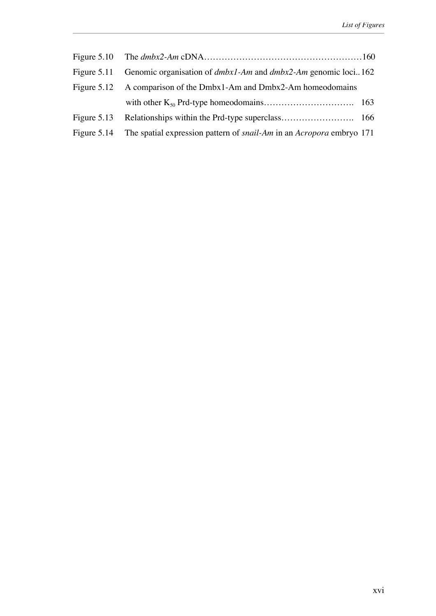|               | Figure 5.11 Genomic organisation of <i>dmbx1-Am</i> and <i>dmbx2-Am</i> genomic loci162        |  |
|---------------|------------------------------------------------------------------------------------------------|--|
|               | Figure 5.12 A comparison of the Dmbx1-Am and Dmbx2-Am homeodomains                             |  |
|               |                                                                                                |  |
| Figure $5.13$ |                                                                                                |  |
|               | Figure 5.14 The spatial expression pattern of <i>snail-Am</i> in an <i>Acropora</i> embryo 171 |  |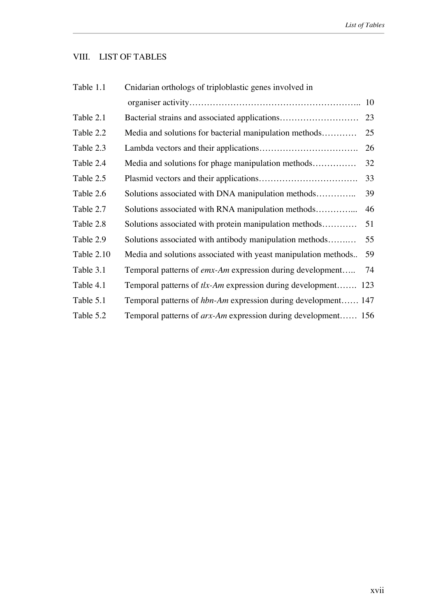# VIII. LIST OF TABLES

| Table 1.1  | Cnidarian orthologs of triploblastic genes involved in         |    |
|------------|----------------------------------------------------------------|----|
|            |                                                                | 10 |
| Table 2.1  | Bacterial strains and associated applications                  | 23 |
| Table 2.2  | Media and solutions for bacterial manipulation methods         | 25 |
| Table 2.3  |                                                                | 26 |
| Table 2.4  | Media and solutions for phage manipulation methods             | 32 |
| Table 2.5  |                                                                | 33 |
| Table 2.6  | Solutions associated with DNA manipulation methods             | 39 |
| Table 2.7  | Solutions associated with RNA manipulation methods             | 46 |
| Table 2.8  | Solutions associated with protein manipulation methods         | 51 |
| Table 2.9  | Solutions associated with antibody manipulation methods        | 55 |
| Table 2.10 | Media and solutions associated with yeast manipulation methods | 59 |
| Table 3.1  | Temporal patterns of emx-Am expression during development      | 74 |
| Table 4.1  | Temporal patterns of tlx-Am expression during development 123  |    |
| Table 5.1  | Temporal patterns of hbn-Am expression during development 147  |    |
| Table 5.2  | Temporal patterns of arx-Am expression during development 156  |    |